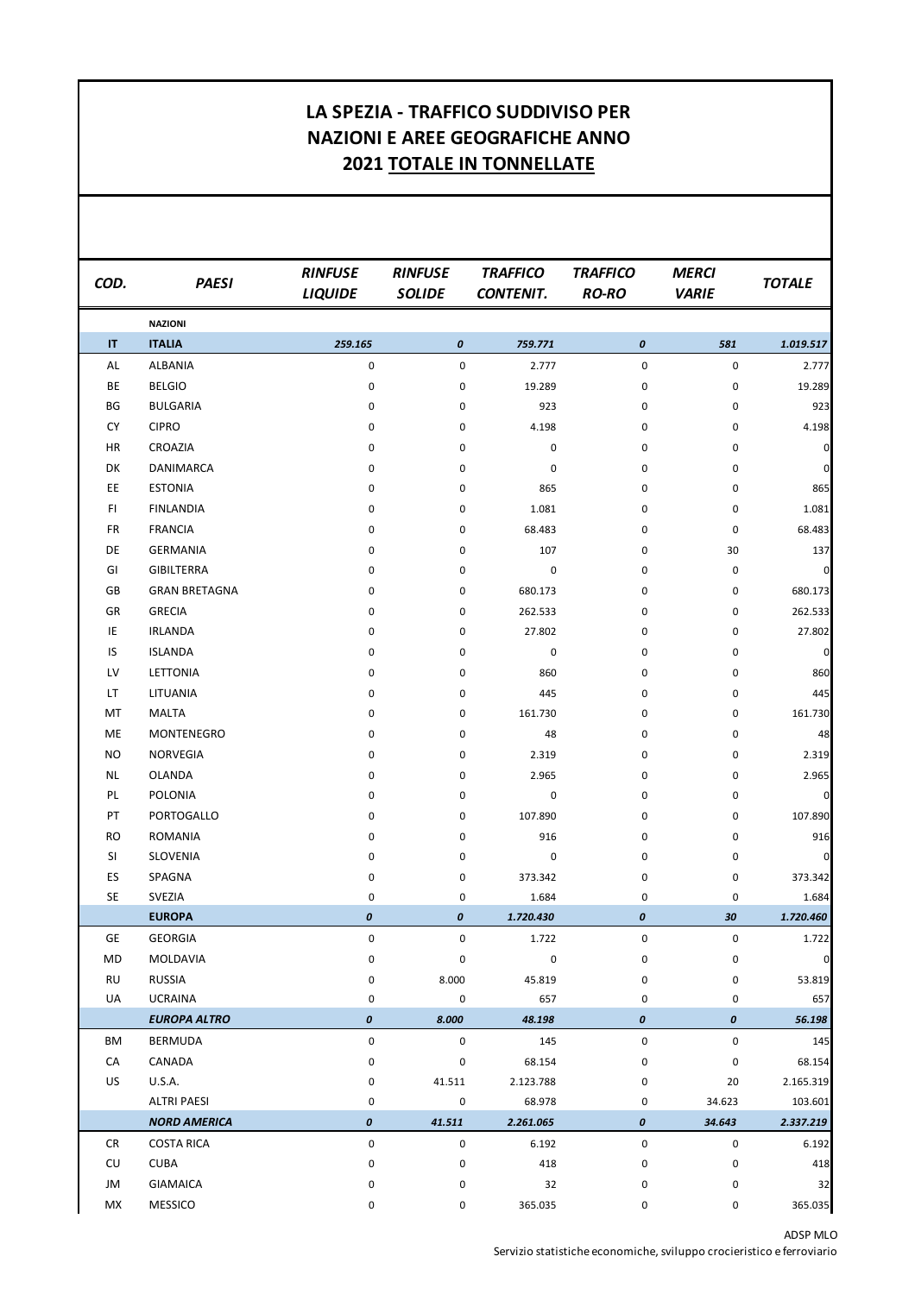## **LA SPEZIA - TRAFFICO SUDDIVISO PER NAZIONI E AREE GEOGRAFICHE ANNO 2021 TOTALE IN TONNELLATE**

| COD.      | <b>PAESI</b>         | <b>RINFUSE</b><br><b>LIQUIDE</b> | <b>RINFUSE</b><br><b>SOLIDE</b> | <b>TRAFFICO</b><br><b>CONTENIT.</b> | <b>TRAFFICO</b><br><b>RO-RO</b> | <b>MERCI</b><br><b>VARIE</b> | <b>TOTALE</b> |
|-----------|----------------------|----------------------------------|---------------------------------|-------------------------------------|---------------------------------|------------------------------|---------------|
|           | <b>NAZIONI</b>       |                                  |                                 |                                     |                                 |                              |               |
| IT        | <b>ITALIA</b>        | 259.165                          | 0                               | 759.771                             | 0                               | 581                          | 1.019.517     |
| AL        | ALBANIA              | 0                                | $\mathsf 0$                     | 2.777                               | 0                               | $\pmb{0}$                    | 2.777         |
| BE        | <b>BELGIO</b>        | 0                                | 0                               | 19.289                              | 0                               | 0                            | 19.289        |
| BG        | <b>BULGARIA</b>      | 0                                | 0                               | 923                                 | 0                               | 0                            | 923           |
| <b>CY</b> | <b>CIPRO</b>         | 0                                | 0                               | 4.198                               | 0                               | 0                            | 4.198         |
| HR        | CROAZIA              | 0                                | 0                               | $\pmb{0}$                           | 0                               | $\pmb{0}$                    | $\pmb{0}$     |
| DK        | DANIMARCA            | 0                                | 0                               | 0                                   | 0                               | 0                            | $\mathbf 0$   |
| EE.       | <b>ESTONIA</b>       | 0                                | 0                               | 865                                 | 0                               | 0                            | 865           |
| FI.       | <b>FINLANDIA</b>     | 0                                | 0                               | 1.081                               | 0                               | 0                            | 1.081         |
| FR        | <b>FRANCIA</b>       | 0                                | 0                               | 68.483                              | 0                               | $\pmb{0}$                    | 68.483        |
| DE        | <b>GERMANIA</b>      | 0                                | 0                               | 107                                 | 0                               | 30                           | 137           |
| GI        | <b>GIBILTERRA</b>    | 0                                | 0                               | $\pmb{0}$                           | 0                               | 0                            | $\pmb{0}$     |
| GB        | <b>GRAN BRETAGNA</b> | 0                                | 0                               | 680.173                             | 0                               | $\pmb{0}$                    | 680.173       |
| GR        | <b>GRECIA</b>        | 0                                | 0                               | 262.533                             | 0                               | 0                            | 262.533       |
| IE        | <b>IRLANDA</b>       | 0                                | 0                               | 27.802                              | 0                               | 0                            | 27.802        |
| IS        | <b>ISLANDA</b>       | 0                                | 0                               | $\pmb{0}$                           | 0                               | 0                            | $\mathbf 0$   |
| LV        | LETTONIA             | 0                                | 0                               | 860                                 | 0                               | 0                            | 860           |
| LT        | LITUANIA             | 0                                | 0                               | 445                                 | 0                               | 0                            | 445           |
| MT        | <b>MALTA</b>         | 0                                | 0                               | 161.730                             | 0                               | 0                            | 161.730       |
| ME        | MONTENEGRO           | 0                                | 0                               | 48                                  | 0                               | 0                            | 48            |
| NO.       | NORVEGIA             | 0                                | 0                               | 2.319                               | 0                               | 0                            | 2.319         |
| NL        | <b>OLANDA</b>        | 0                                | 0                               | 2.965                               | 0                               | $\pmb{0}$                    | 2.965         |
| PL        | <b>POLONIA</b>       | 0                                | 0                               | 0                                   | 0                               | 0                            | $\pmb{0}$     |
| PT        | PORTOGALLO           | 0                                | 0                               | 107.890                             | 0                               | 0                            | 107.890       |
| RO        | <b>ROMANIA</b>       | 0                                | 0                               | 916                                 | 0                               | 0                            | 916           |
| SI        | SLOVENIA             | 0                                | 0                               | 0                                   | 0                               | 0                            | $\pmb{0}$     |
| ES        | SPAGNA               | 0                                | 0                               | 373.342                             | 0                               | 0                            | 373.342       |
| <b>SE</b> | SVEZIA               | 0                                | 0                               | 1.684                               | 0                               | 0                            | 1.684         |
|           | <b>EUROPA</b>        | $\boldsymbol{o}$                 | 0                               | 1.720.430                           | 0                               | 30                           | 1.720.460     |
| GE        | <b>GEORGIA</b>       | 0                                | 0                               | 1.722                               | 0                               | $\pmb{0}$                    | 1.722         |
| MD        | MOLDAVIA             | 0                                | 0                               | $\mathsf 0$                         | 0                               | $\pmb{0}$                    | $\pmb{0}$     |
| RU        | <b>RUSSIA</b>        | 0                                | 8.000                           | 45.819                              | 0                               | 0                            | 53.819        |
| UA        | <b>UCRAINA</b>       | 0                                | 0                               | 657                                 | 0                               | 0                            | 657           |
|           | <b>EUROPA ALTRO</b>  | 0                                | 8.000                           | 48.198                              | 0                               | 0                            | 56.198        |
| ΒM        | <b>BERMUDA</b>       | 0                                | 0                               | 145                                 | 0                               | 0                            | 145           |
| CA        | CANADA               | 0                                | 0                               | 68.154                              | 0                               | 0                            | 68.154        |
| <b>US</b> | <b>U.S.A.</b>        | 0                                | 41.511                          | 2.123.788                           | 0                               | 20                           | 2.165.319     |
|           | <b>ALTRI PAESI</b>   | 0                                | 0                               | 68.978                              | 0                               | 34.623                       | 103.601       |
|           | <b>NORD AMERICA</b>  | $\pmb{o}$                        | 41.511                          | 2.261.065                           | 0                               | 34.643                       | 2.337.219     |
| CR        | <b>COSTA RICA</b>    | 0                                | 0                               | 6.192                               | 0                               | 0                            | 6.192         |
| CU        | <b>CUBA</b>          | 0                                | 0                               | 418                                 | 0                               | 0                            | 418           |
| JM        | <b>GIAMAICA</b>      | 0                                | 0                               | 32                                  | 0                               | 0                            | 32            |
| МX        | <b>MESSICO</b>       | 0                                | 0                               | 365.035                             | 0                               | 0                            | 365.035       |

ADSP MLO Servizio statistiche economiche, sviluppo crocieristico e ferroviario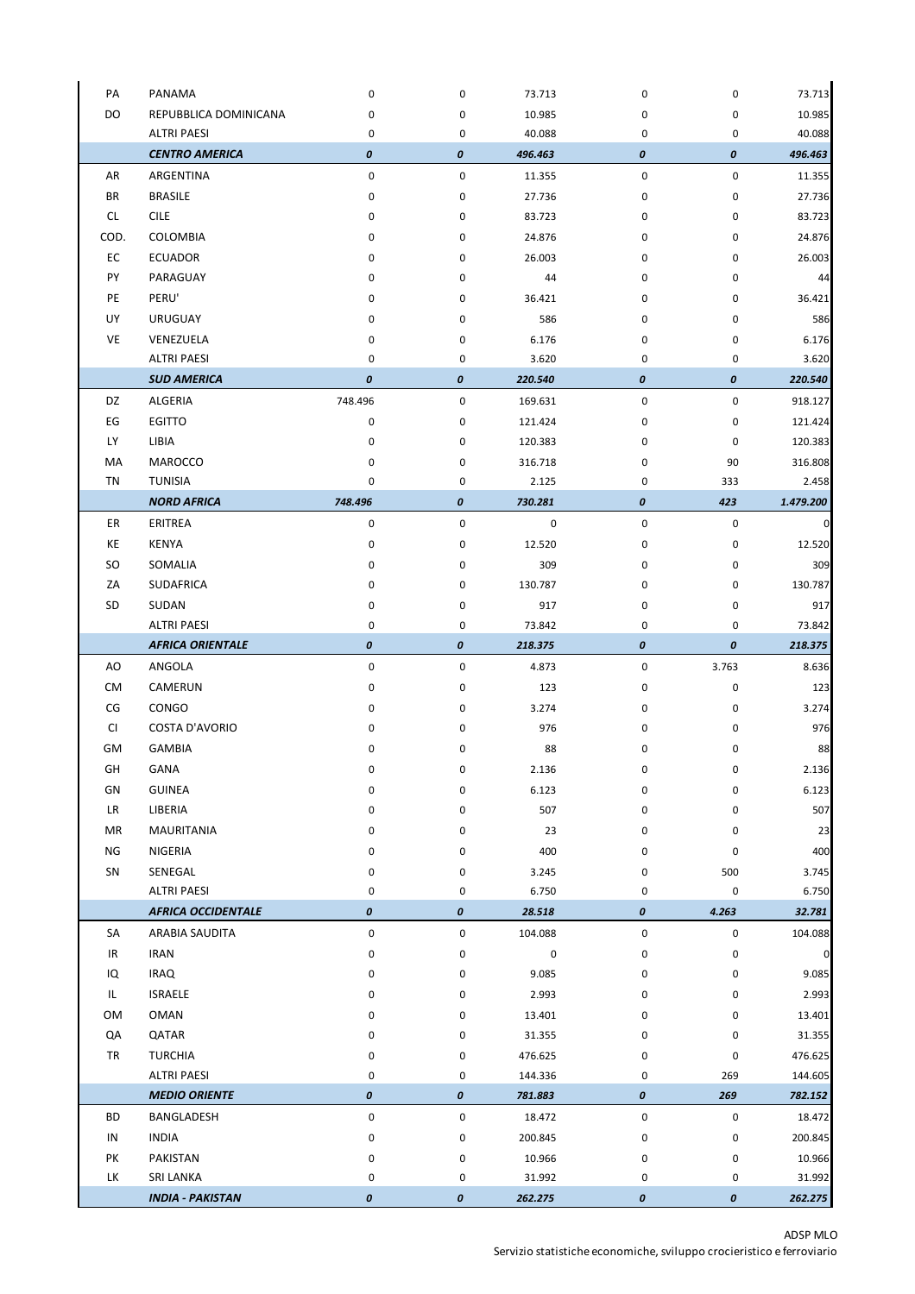| DO<br>REPUBBLICA DOMINICANA<br>10.985<br>0<br>0<br>0<br>0<br><b>ALTRI PAESI</b><br>$\pmb{0}$<br>40.088<br>0<br>0<br>0<br><b>CENTRO AMERICA</b><br>0<br>0<br>0<br>0<br>496.463<br>ARGENTINA<br>0<br>$\pmb{0}$<br>$\pmb{0}$<br>0<br>AR<br>11.355<br>ΒR<br><b>BRASILE</b><br>0<br>0<br>27.736<br>0<br>0<br><b>CILE</b><br>CL.<br>0<br>$\pmb{0}$<br>$\pmb{0}$<br>0<br>83.723<br>83.723<br>COD.<br>COLOMBIA<br>$\pmb{0}$<br>$\pmb{0}$<br>0<br>0<br>24.876<br>24.876<br>EC<br><b>ECUADOR</b><br>26.003<br>0<br>0<br>26.003<br>0<br>0<br>PY<br>PARAGUAY<br>44<br>0<br>0<br>44<br>0<br>0<br>PE<br>PERU'<br>0<br>0<br>36.421<br>0<br>0<br>36.421<br>UY<br>586<br><b>URUGUAY</b><br>0<br>0<br>0<br>0<br>VE<br>0<br>$\pmb{0}$<br>0<br>VENEZUELA<br>6.176<br>0<br>6.176<br><b>ALTRI PAESI</b><br>0<br>0<br>3.620<br>0<br>0<br><b>SUD AMERICA</b><br>0<br>0<br>0<br>0<br>220.540<br>ALGERIA<br>$\pmb{0}$<br>DZ<br>748.496<br>0<br>169.631<br>$\pmb{0}$<br>EG<br><b>EGITTO</b><br>0<br>0<br>$\pmb{0}$<br>0<br>121.424<br>121.424<br>LY<br>LIBIA<br>$\pmb{0}$<br>0<br>0<br>120.383<br>0<br>120.383<br>MA<br>MAROCCO<br>0<br>0<br>316.718<br>0<br>90<br>316.808<br>TN<br><b>TUNISIA</b><br>0<br>$\mathbf 0$<br>$\pmb{0}$<br>333<br>2.125<br>2.458<br><b>NORD AFRICA</b><br>748.496<br>0<br>423<br>0<br>730.281<br>1.479.200<br>$\pmb{0}$<br>$\pmb{0}$<br>ER<br>ERITREA<br>0<br>$\pmb{0}$<br>0<br>$\overline{0}$<br>KE<br><b>KENYA</b><br>$\pmb{0}$<br>0<br>12.520<br>0<br>12.520<br>0<br>SO.<br>SOMALIA<br>0<br>309<br>$\pmb{0}$<br>0<br>309<br>0<br><b>SUDAFRICA</b><br>130.787<br>ΖA<br>0<br>0<br>130.787<br>0<br>0<br><b>SD</b><br>SUDAN<br>$\pmb{0}$<br>$\pmb{0}$<br>0<br>0<br>917<br>917<br><b>ALTRI PAESI</b><br>0<br>73.842<br>0<br>0<br>0<br>73.842<br>0<br><b>AFRICA ORIENTALE</b><br>0<br>0<br>0<br>218.375<br>218.375<br>AO<br>ANGOLA<br>0<br>0<br>$\pmb{0}$<br>3.763<br>8.636<br>4.873<br>CM<br>CAMERUN<br>0<br>0<br>0<br>123<br>0<br>123<br>CG<br>CONGO<br>0<br>0<br>0<br>3.274<br>0<br>3.274<br>CI<br><b>COSTA D'AVORIO</b><br>976<br>0<br>0<br>976<br>0<br>0<br>GМ<br><b>GAMBIA</b><br>88<br>88<br>0<br>0<br>0<br>0<br>GH<br>GANA<br>2.136<br>0<br>2.136<br>0<br>0<br>0<br><b>GUINEA</b><br>GN<br>0<br>0<br>6.123<br>0<br>0<br>6.123<br>0<br>0<br>0<br>507<br>LR<br>LIBERIA<br>507<br>0<br><b>MAURITANIA</b><br>23<br>ΜR<br>0<br>0<br>23<br>0<br>0<br>NIGERIA<br>400<br>ΝG<br>0<br>0<br>400<br>0<br>0<br>SN<br>SENEGAL<br>$\pmb{0}$<br>0<br>3.245<br>0<br>500<br>3.745<br>0<br><b>ALTRI PAESI</b><br>0<br>0<br>6.750<br>0<br>6.750<br><b>AFRICA OCCIDENTALE</b><br>0<br>0<br>0<br>4.263<br>28.518<br>32.781<br>0<br>0<br>104.088<br>$\pmb{0}$<br>0<br>104.088<br>SA<br>ARABIA SAUDITA<br>$\pmb{0}$<br>$\overline{0}$<br>IR<br><b>IRAN</b><br>0<br>0<br>0<br>0<br>IQ<br><b>IRAQ</b><br>$\pmb{0}$<br>0<br>9.085<br>0<br>0<br>9.085<br>IL.<br>ISRAELE<br>0<br>0<br>2.993<br>0<br>0<br>2.993<br>OM<br>OMAN<br>0<br>0<br>13.401<br>0<br>0<br>13.401<br>QATAR<br>QA<br>0<br>0<br>31.355<br>0<br>0<br>31.355<br>TR<br><b>TURCHIA</b><br>$\pmb{0}$<br>$\pmb{0}$<br>0<br>476.625<br>0<br>476.625<br><b>ALTRI PAESI</b><br>0<br>0<br>144.336<br>0<br>269<br>144.605<br><b>MEDIO ORIENTE</b><br>0<br>0<br>0<br>269<br>781.883<br>782.152<br>BD<br>0<br>0<br>$\pmb{0}$<br>0<br>BANGLADESH<br>18.472<br>18.472<br><b>INDIA</b><br>IN<br>0<br>0<br>200.845<br>0<br>0<br>200.845<br>PK<br>PAKISTAN<br>0<br>0<br>10.966<br>0<br>0<br>10.966<br>LK<br>SRI LANKA<br>0<br>0<br>31.992<br>0<br>0<br>31.992<br><b>INDIA - PAKISTAN</b><br>0<br>0<br>0<br>0<br>262.275<br>262.275 | PA | PANAMA | 0 | 0 | 73.713 | 0 | 0 | 73.713  |
|------------------------------------------------------------------------------------------------------------------------------------------------------------------------------------------------------------------------------------------------------------------------------------------------------------------------------------------------------------------------------------------------------------------------------------------------------------------------------------------------------------------------------------------------------------------------------------------------------------------------------------------------------------------------------------------------------------------------------------------------------------------------------------------------------------------------------------------------------------------------------------------------------------------------------------------------------------------------------------------------------------------------------------------------------------------------------------------------------------------------------------------------------------------------------------------------------------------------------------------------------------------------------------------------------------------------------------------------------------------------------------------------------------------------------------------------------------------------------------------------------------------------------------------------------------------------------------------------------------------------------------------------------------------------------------------------------------------------------------------------------------------------------------------------------------------------------------------------------------------------------------------------------------------------------------------------------------------------------------------------------------------------------------------------------------------------------------------------------------------------------------------------------------------------------------------------------------------------------------------------------------------------------------------------------------------------------------------------------------------------------------------------------------------------------------------------------------------------------------------------------------------------------------------------------------------------------------------------------------------------------------------------------------------------------------------------------------------------------------------------------------------------------------------------------------------------------------------------------------------------------------------------------------------------------------------------------------------------------------------------------------------------------------------------------------------------------------------------------------------------------------------------------------------------------------------------------------------------------------------------------------------------------------------------------------------------------------------------------------------------------------------------------------------------------------------------------------------------------------------------------------------------------------------------------------|----|--------|---|---|--------|---|---|---------|
|                                                                                                                                                                                                                                                                                                                                                                                                                                                                                                                                                                                                                                                                                                                                                                                                                                                                                                                                                                                                                                                                                                                                                                                                                                                                                                                                                                                                                                                                                                                                                                                                                                                                                                                                                                                                                                                                                                                                                                                                                                                                                                                                                                                                                                                                                                                                                                                                                                                                                                                                                                                                                                                                                                                                                                                                                                                                                                                                                                                                                                                                                                                                                                                                                                                                                                                                                                                                                                                                                                                                                            |    |        |   |   |        |   |   | 10.985  |
|                                                                                                                                                                                                                                                                                                                                                                                                                                                                                                                                                                                                                                                                                                                                                                                                                                                                                                                                                                                                                                                                                                                                                                                                                                                                                                                                                                                                                                                                                                                                                                                                                                                                                                                                                                                                                                                                                                                                                                                                                                                                                                                                                                                                                                                                                                                                                                                                                                                                                                                                                                                                                                                                                                                                                                                                                                                                                                                                                                                                                                                                                                                                                                                                                                                                                                                                                                                                                                                                                                                                                            |    |        |   |   |        |   |   | 40.088  |
|                                                                                                                                                                                                                                                                                                                                                                                                                                                                                                                                                                                                                                                                                                                                                                                                                                                                                                                                                                                                                                                                                                                                                                                                                                                                                                                                                                                                                                                                                                                                                                                                                                                                                                                                                                                                                                                                                                                                                                                                                                                                                                                                                                                                                                                                                                                                                                                                                                                                                                                                                                                                                                                                                                                                                                                                                                                                                                                                                                                                                                                                                                                                                                                                                                                                                                                                                                                                                                                                                                                                                            |    |        |   |   |        |   |   | 496.463 |
|                                                                                                                                                                                                                                                                                                                                                                                                                                                                                                                                                                                                                                                                                                                                                                                                                                                                                                                                                                                                                                                                                                                                                                                                                                                                                                                                                                                                                                                                                                                                                                                                                                                                                                                                                                                                                                                                                                                                                                                                                                                                                                                                                                                                                                                                                                                                                                                                                                                                                                                                                                                                                                                                                                                                                                                                                                                                                                                                                                                                                                                                                                                                                                                                                                                                                                                                                                                                                                                                                                                                                            |    |        |   |   |        |   |   | 11.355  |
|                                                                                                                                                                                                                                                                                                                                                                                                                                                                                                                                                                                                                                                                                                                                                                                                                                                                                                                                                                                                                                                                                                                                                                                                                                                                                                                                                                                                                                                                                                                                                                                                                                                                                                                                                                                                                                                                                                                                                                                                                                                                                                                                                                                                                                                                                                                                                                                                                                                                                                                                                                                                                                                                                                                                                                                                                                                                                                                                                                                                                                                                                                                                                                                                                                                                                                                                                                                                                                                                                                                                                            |    |        |   |   |        |   |   | 27.736  |
|                                                                                                                                                                                                                                                                                                                                                                                                                                                                                                                                                                                                                                                                                                                                                                                                                                                                                                                                                                                                                                                                                                                                                                                                                                                                                                                                                                                                                                                                                                                                                                                                                                                                                                                                                                                                                                                                                                                                                                                                                                                                                                                                                                                                                                                                                                                                                                                                                                                                                                                                                                                                                                                                                                                                                                                                                                                                                                                                                                                                                                                                                                                                                                                                                                                                                                                                                                                                                                                                                                                                                            |    |        |   |   |        |   |   |         |
|                                                                                                                                                                                                                                                                                                                                                                                                                                                                                                                                                                                                                                                                                                                                                                                                                                                                                                                                                                                                                                                                                                                                                                                                                                                                                                                                                                                                                                                                                                                                                                                                                                                                                                                                                                                                                                                                                                                                                                                                                                                                                                                                                                                                                                                                                                                                                                                                                                                                                                                                                                                                                                                                                                                                                                                                                                                                                                                                                                                                                                                                                                                                                                                                                                                                                                                                                                                                                                                                                                                                                            |    |        |   |   |        |   |   |         |
|                                                                                                                                                                                                                                                                                                                                                                                                                                                                                                                                                                                                                                                                                                                                                                                                                                                                                                                                                                                                                                                                                                                                                                                                                                                                                                                                                                                                                                                                                                                                                                                                                                                                                                                                                                                                                                                                                                                                                                                                                                                                                                                                                                                                                                                                                                                                                                                                                                                                                                                                                                                                                                                                                                                                                                                                                                                                                                                                                                                                                                                                                                                                                                                                                                                                                                                                                                                                                                                                                                                                                            |    |        |   |   |        |   |   |         |
|                                                                                                                                                                                                                                                                                                                                                                                                                                                                                                                                                                                                                                                                                                                                                                                                                                                                                                                                                                                                                                                                                                                                                                                                                                                                                                                                                                                                                                                                                                                                                                                                                                                                                                                                                                                                                                                                                                                                                                                                                                                                                                                                                                                                                                                                                                                                                                                                                                                                                                                                                                                                                                                                                                                                                                                                                                                                                                                                                                                                                                                                                                                                                                                                                                                                                                                                                                                                                                                                                                                                                            |    |        |   |   |        |   |   |         |
|                                                                                                                                                                                                                                                                                                                                                                                                                                                                                                                                                                                                                                                                                                                                                                                                                                                                                                                                                                                                                                                                                                                                                                                                                                                                                                                                                                                                                                                                                                                                                                                                                                                                                                                                                                                                                                                                                                                                                                                                                                                                                                                                                                                                                                                                                                                                                                                                                                                                                                                                                                                                                                                                                                                                                                                                                                                                                                                                                                                                                                                                                                                                                                                                                                                                                                                                                                                                                                                                                                                                                            |    |        |   |   |        |   |   |         |
|                                                                                                                                                                                                                                                                                                                                                                                                                                                                                                                                                                                                                                                                                                                                                                                                                                                                                                                                                                                                                                                                                                                                                                                                                                                                                                                                                                                                                                                                                                                                                                                                                                                                                                                                                                                                                                                                                                                                                                                                                                                                                                                                                                                                                                                                                                                                                                                                                                                                                                                                                                                                                                                                                                                                                                                                                                                                                                                                                                                                                                                                                                                                                                                                                                                                                                                                                                                                                                                                                                                                                            |    |        |   |   |        |   |   | 586     |
|                                                                                                                                                                                                                                                                                                                                                                                                                                                                                                                                                                                                                                                                                                                                                                                                                                                                                                                                                                                                                                                                                                                                                                                                                                                                                                                                                                                                                                                                                                                                                                                                                                                                                                                                                                                                                                                                                                                                                                                                                                                                                                                                                                                                                                                                                                                                                                                                                                                                                                                                                                                                                                                                                                                                                                                                                                                                                                                                                                                                                                                                                                                                                                                                                                                                                                                                                                                                                                                                                                                                                            |    |        |   |   |        |   |   |         |
|                                                                                                                                                                                                                                                                                                                                                                                                                                                                                                                                                                                                                                                                                                                                                                                                                                                                                                                                                                                                                                                                                                                                                                                                                                                                                                                                                                                                                                                                                                                                                                                                                                                                                                                                                                                                                                                                                                                                                                                                                                                                                                                                                                                                                                                                                                                                                                                                                                                                                                                                                                                                                                                                                                                                                                                                                                                                                                                                                                                                                                                                                                                                                                                                                                                                                                                                                                                                                                                                                                                                                            |    |        |   |   |        |   |   | 3.620   |
|                                                                                                                                                                                                                                                                                                                                                                                                                                                                                                                                                                                                                                                                                                                                                                                                                                                                                                                                                                                                                                                                                                                                                                                                                                                                                                                                                                                                                                                                                                                                                                                                                                                                                                                                                                                                                                                                                                                                                                                                                                                                                                                                                                                                                                                                                                                                                                                                                                                                                                                                                                                                                                                                                                                                                                                                                                                                                                                                                                                                                                                                                                                                                                                                                                                                                                                                                                                                                                                                                                                                                            |    |        |   |   |        |   |   | 220.540 |
|                                                                                                                                                                                                                                                                                                                                                                                                                                                                                                                                                                                                                                                                                                                                                                                                                                                                                                                                                                                                                                                                                                                                                                                                                                                                                                                                                                                                                                                                                                                                                                                                                                                                                                                                                                                                                                                                                                                                                                                                                                                                                                                                                                                                                                                                                                                                                                                                                                                                                                                                                                                                                                                                                                                                                                                                                                                                                                                                                                                                                                                                                                                                                                                                                                                                                                                                                                                                                                                                                                                                                            |    |        |   |   |        |   |   | 918.127 |
|                                                                                                                                                                                                                                                                                                                                                                                                                                                                                                                                                                                                                                                                                                                                                                                                                                                                                                                                                                                                                                                                                                                                                                                                                                                                                                                                                                                                                                                                                                                                                                                                                                                                                                                                                                                                                                                                                                                                                                                                                                                                                                                                                                                                                                                                                                                                                                                                                                                                                                                                                                                                                                                                                                                                                                                                                                                                                                                                                                                                                                                                                                                                                                                                                                                                                                                                                                                                                                                                                                                                                            |    |        |   |   |        |   |   |         |
|                                                                                                                                                                                                                                                                                                                                                                                                                                                                                                                                                                                                                                                                                                                                                                                                                                                                                                                                                                                                                                                                                                                                                                                                                                                                                                                                                                                                                                                                                                                                                                                                                                                                                                                                                                                                                                                                                                                                                                                                                                                                                                                                                                                                                                                                                                                                                                                                                                                                                                                                                                                                                                                                                                                                                                                                                                                                                                                                                                                                                                                                                                                                                                                                                                                                                                                                                                                                                                                                                                                                                            |    |        |   |   |        |   |   |         |
|                                                                                                                                                                                                                                                                                                                                                                                                                                                                                                                                                                                                                                                                                                                                                                                                                                                                                                                                                                                                                                                                                                                                                                                                                                                                                                                                                                                                                                                                                                                                                                                                                                                                                                                                                                                                                                                                                                                                                                                                                                                                                                                                                                                                                                                                                                                                                                                                                                                                                                                                                                                                                                                                                                                                                                                                                                                                                                                                                                                                                                                                                                                                                                                                                                                                                                                                                                                                                                                                                                                                                            |    |        |   |   |        |   |   |         |
|                                                                                                                                                                                                                                                                                                                                                                                                                                                                                                                                                                                                                                                                                                                                                                                                                                                                                                                                                                                                                                                                                                                                                                                                                                                                                                                                                                                                                                                                                                                                                                                                                                                                                                                                                                                                                                                                                                                                                                                                                                                                                                                                                                                                                                                                                                                                                                                                                                                                                                                                                                                                                                                                                                                                                                                                                                                                                                                                                                                                                                                                                                                                                                                                                                                                                                                                                                                                                                                                                                                                                            |    |        |   |   |        |   |   |         |
|                                                                                                                                                                                                                                                                                                                                                                                                                                                                                                                                                                                                                                                                                                                                                                                                                                                                                                                                                                                                                                                                                                                                                                                                                                                                                                                                                                                                                                                                                                                                                                                                                                                                                                                                                                                                                                                                                                                                                                                                                                                                                                                                                                                                                                                                                                                                                                                                                                                                                                                                                                                                                                                                                                                                                                                                                                                                                                                                                                                                                                                                                                                                                                                                                                                                                                                                                                                                                                                                                                                                                            |    |        |   |   |        |   |   |         |
|                                                                                                                                                                                                                                                                                                                                                                                                                                                                                                                                                                                                                                                                                                                                                                                                                                                                                                                                                                                                                                                                                                                                                                                                                                                                                                                                                                                                                                                                                                                                                                                                                                                                                                                                                                                                                                                                                                                                                                                                                                                                                                                                                                                                                                                                                                                                                                                                                                                                                                                                                                                                                                                                                                                                                                                                                                                                                                                                                                                                                                                                                                                                                                                                                                                                                                                                                                                                                                                                                                                                                            |    |        |   |   |        |   |   |         |
|                                                                                                                                                                                                                                                                                                                                                                                                                                                                                                                                                                                                                                                                                                                                                                                                                                                                                                                                                                                                                                                                                                                                                                                                                                                                                                                                                                                                                                                                                                                                                                                                                                                                                                                                                                                                                                                                                                                                                                                                                                                                                                                                                                                                                                                                                                                                                                                                                                                                                                                                                                                                                                                                                                                                                                                                                                                                                                                                                                                                                                                                                                                                                                                                                                                                                                                                                                                                                                                                                                                                                            |    |        |   |   |        |   |   |         |
|                                                                                                                                                                                                                                                                                                                                                                                                                                                                                                                                                                                                                                                                                                                                                                                                                                                                                                                                                                                                                                                                                                                                                                                                                                                                                                                                                                                                                                                                                                                                                                                                                                                                                                                                                                                                                                                                                                                                                                                                                                                                                                                                                                                                                                                                                                                                                                                                                                                                                                                                                                                                                                                                                                                                                                                                                                                                                                                                                                                                                                                                                                                                                                                                                                                                                                                                                                                                                                                                                                                                                            |    |        |   |   |        |   |   |         |
|                                                                                                                                                                                                                                                                                                                                                                                                                                                                                                                                                                                                                                                                                                                                                                                                                                                                                                                                                                                                                                                                                                                                                                                                                                                                                                                                                                                                                                                                                                                                                                                                                                                                                                                                                                                                                                                                                                                                                                                                                                                                                                                                                                                                                                                                                                                                                                                                                                                                                                                                                                                                                                                                                                                                                                                                                                                                                                                                                                                                                                                                                                                                                                                                                                                                                                                                                                                                                                                                                                                                                            |    |        |   |   |        |   |   |         |
|                                                                                                                                                                                                                                                                                                                                                                                                                                                                                                                                                                                                                                                                                                                                                                                                                                                                                                                                                                                                                                                                                                                                                                                                                                                                                                                                                                                                                                                                                                                                                                                                                                                                                                                                                                                                                                                                                                                                                                                                                                                                                                                                                                                                                                                                                                                                                                                                                                                                                                                                                                                                                                                                                                                                                                                                                                                                                                                                                                                                                                                                                                                                                                                                                                                                                                                                                                                                                                                                                                                                                            |    |        |   |   |        |   |   |         |
|                                                                                                                                                                                                                                                                                                                                                                                                                                                                                                                                                                                                                                                                                                                                                                                                                                                                                                                                                                                                                                                                                                                                                                                                                                                                                                                                                                                                                                                                                                                                                                                                                                                                                                                                                                                                                                                                                                                                                                                                                                                                                                                                                                                                                                                                                                                                                                                                                                                                                                                                                                                                                                                                                                                                                                                                                                                                                                                                                                                                                                                                                                                                                                                                                                                                                                                                                                                                                                                                                                                                                            |    |        |   |   |        |   |   |         |
|                                                                                                                                                                                                                                                                                                                                                                                                                                                                                                                                                                                                                                                                                                                                                                                                                                                                                                                                                                                                                                                                                                                                                                                                                                                                                                                                                                                                                                                                                                                                                                                                                                                                                                                                                                                                                                                                                                                                                                                                                                                                                                                                                                                                                                                                                                                                                                                                                                                                                                                                                                                                                                                                                                                                                                                                                                                                                                                                                                                                                                                                                                                                                                                                                                                                                                                                                                                                                                                                                                                                                            |    |        |   |   |        |   |   |         |
|                                                                                                                                                                                                                                                                                                                                                                                                                                                                                                                                                                                                                                                                                                                                                                                                                                                                                                                                                                                                                                                                                                                                                                                                                                                                                                                                                                                                                                                                                                                                                                                                                                                                                                                                                                                                                                                                                                                                                                                                                                                                                                                                                                                                                                                                                                                                                                                                                                                                                                                                                                                                                                                                                                                                                                                                                                                                                                                                                                                                                                                                                                                                                                                                                                                                                                                                                                                                                                                                                                                                                            |    |        |   |   |        |   |   |         |
|                                                                                                                                                                                                                                                                                                                                                                                                                                                                                                                                                                                                                                                                                                                                                                                                                                                                                                                                                                                                                                                                                                                                                                                                                                                                                                                                                                                                                                                                                                                                                                                                                                                                                                                                                                                                                                                                                                                                                                                                                                                                                                                                                                                                                                                                                                                                                                                                                                                                                                                                                                                                                                                                                                                                                                                                                                                                                                                                                                                                                                                                                                                                                                                                                                                                                                                                                                                                                                                                                                                                                            |    |        |   |   |        |   |   |         |
|                                                                                                                                                                                                                                                                                                                                                                                                                                                                                                                                                                                                                                                                                                                                                                                                                                                                                                                                                                                                                                                                                                                                                                                                                                                                                                                                                                                                                                                                                                                                                                                                                                                                                                                                                                                                                                                                                                                                                                                                                                                                                                                                                                                                                                                                                                                                                                                                                                                                                                                                                                                                                                                                                                                                                                                                                                                                                                                                                                                                                                                                                                                                                                                                                                                                                                                                                                                                                                                                                                                                                            |    |        |   |   |        |   |   |         |
|                                                                                                                                                                                                                                                                                                                                                                                                                                                                                                                                                                                                                                                                                                                                                                                                                                                                                                                                                                                                                                                                                                                                                                                                                                                                                                                                                                                                                                                                                                                                                                                                                                                                                                                                                                                                                                                                                                                                                                                                                                                                                                                                                                                                                                                                                                                                                                                                                                                                                                                                                                                                                                                                                                                                                                                                                                                                                                                                                                                                                                                                                                                                                                                                                                                                                                                                                                                                                                                                                                                                                            |    |        |   |   |        |   |   |         |
|                                                                                                                                                                                                                                                                                                                                                                                                                                                                                                                                                                                                                                                                                                                                                                                                                                                                                                                                                                                                                                                                                                                                                                                                                                                                                                                                                                                                                                                                                                                                                                                                                                                                                                                                                                                                                                                                                                                                                                                                                                                                                                                                                                                                                                                                                                                                                                                                                                                                                                                                                                                                                                                                                                                                                                                                                                                                                                                                                                                                                                                                                                                                                                                                                                                                                                                                                                                                                                                                                                                                                            |    |        |   |   |        |   |   |         |
|                                                                                                                                                                                                                                                                                                                                                                                                                                                                                                                                                                                                                                                                                                                                                                                                                                                                                                                                                                                                                                                                                                                                                                                                                                                                                                                                                                                                                                                                                                                                                                                                                                                                                                                                                                                                                                                                                                                                                                                                                                                                                                                                                                                                                                                                                                                                                                                                                                                                                                                                                                                                                                                                                                                                                                                                                                                                                                                                                                                                                                                                                                                                                                                                                                                                                                                                                                                                                                                                                                                                                            |    |        |   |   |        |   |   |         |
|                                                                                                                                                                                                                                                                                                                                                                                                                                                                                                                                                                                                                                                                                                                                                                                                                                                                                                                                                                                                                                                                                                                                                                                                                                                                                                                                                                                                                                                                                                                                                                                                                                                                                                                                                                                                                                                                                                                                                                                                                                                                                                                                                                                                                                                                                                                                                                                                                                                                                                                                                                                                                                                                                                                                                                                                                                                                                                                                                                                                                                                                                                                                                                                                                                                                                                                                                                                                                                                                                                                                                            |    |        |   |   |        |   |   |         |
|                                                                                                                                                                                                                                                                                                                                                                                                                                                                                                                                                                                                                                                                                                                                                                                                                                                                                                                                                                                                                                                                                                                                                                                                                                                                                                                                                                                                                                                                                                                                                                                                                                                                                                                                                                                                                                                                                                                                                                                                                                                                                                                                                                                                                                                                                                                                                                                                                                                                                                                                                                                                                                                                                                                                                                                                                                                                                                                                                                                                                                                                                                                                                                                                                                                                                                                                                                                                                                                                                                                                                            |    |        |   |   |        |   |   |         |
|                                                                                                                                                                                                                                                                                                                                                                                                                                                                                                                                                                                                                                                                                                                                                                                                                                                                                                                                                                                                                                                                                                                                                                                                                                                                                                                                                                                                                                                                                                                                                                                                                                                                                                                                                                                                                                                                                                                                                                                                                                                                                                                                                                                                                                                                                                                                                                                                                                                                                                                                                                                                                                                                                                                                                                                                                                                                                                                                                                                                                                                                                                                                                                                                                                                                                                                                                                                                                                                                                                                                                            |    |        |   |   |        |   |   |         |
|                                                                                                                                                                                                                                                                                                                                                                                                                                                                                                                                                                                                                                                                                                                                                                                                                                                                                                                                                                                                                                                                                                                                                                                                                                                                                                                                                                                                                                                                                                                                                                                                                                                                                                                                                                                                                                                                                                                                                                                                                                                                                                                                                                                                                                                                                                                                                                                                                                                                                                                                                                                                                                                                                                                                                                                                                                                                                                                                                                                                                                                                                                                                                                                                                                                                                                                                                                                                                                                                                                                                                            |    |        |   |   |        |   |   |         |
|                                                                                                                                                                                                                                                                                                                                                                                                                                                                                                                                                                                                                                                                                                                                                                                                                                                                                                                                                                                                                                                                                                                                                                                                                                                                                                                                                                                                                                                                                                                                                                                                                                                                                                                                                                                                                                                                                                                                                                                                                                                                                                                                                                                                                                                                                                                                                                                                                                                                                                                                                                                                                                                                                                                                                                                                                                                                                                                                                                                                                                                                                                                                                                                                                                                                                                                                                                                                                                                                                                                                                            |    |        |   |   |        |   |   |         |
|                                                                                                                                                                                                                                                                                                                                                                                                                                                                                                                                                                                                                                                                                                                                                                                                                                                                                                                                                                                                                                                                                                                                                                                                                                                                                                                                                                                                                                                                                                                                                                                                                                                                                                                                                                                                                                                                                                                                                                                                                                                                                                                                                                                                                                                                                                                                                                                                                                                                                                                                                                                                                                                                                                                                                                                                                                                                                                                                                                                                                                                                                                                                                                                                                                                                                                                                                                                                                                                                                                                                                            |    |        |   |   |        |   |   |         |
|                                                                                                                                                                                                                                                                                                                                                                                                                                                                                                                                                                                                                                                                                                                                                                                                                                                                                                                                                                                                                                                                                                                                                                                                                                                                                                                                                                                                                                                                                                                                                                                                                                                                                                                                                                                                                                                                                                                                                                                                                                                                                                                                                                                                                                                                                                                                                                                                                                                                                                                                                                                                                                                                                                                                                                                                                                                                                                                                                                                                                                                                                                                                                                                                                                                                                                                                                                                                                                                                                                                                                            |    |        |   |   |        |   |   |         |
|                                                                                                                                                                                                                                                                                                                                                                                                                                                                                                                                                                                                                                                                                                                                                                                                                                                                                                                                                                                                                                                                                                                                                                                                                                                                                                                                                                                                                                                                                                                                                                                                                                                                                                                                                                                                                                                                                                                                                                                                                                                                                                                                                                                                                                                                                                                                                                                                                                                                                                                                                                                                                                                                                                                                                                                                                                                                                                                                                                                                                                                                                                                                                                                                                                                                                                                                                                                                                                                                                                                                                            |    |        |   |   |        |   |   |         |
|                                                                                                                                                                                                                                                                                                                                                                                                                                                                                                                                                                                                                                                                                                                                                                                                                                                                                                                                                                                                                                                                                                                                                                                                                                                                                                                                                                                                                                                                                                                                                                                                                                                                                                                                                                                                                                                                                                                                                                                                                                                                                                                                                                                                                                                                                                                                                                                                                                                                                                                                                                                                                                                                                                                                                                                                                                                                                                                                                                                                                                                                                                                                                                                                                                                                                                                                                                                                                                                                                                                                                            |    |        |   |   |        |   |   |         |
|                                                                                                                                                                                                                                                                                                                                                                                                                                                                                                                                                                                                                                                                                                                                                                                                                                                                                                                                                                                                                                                                                                                                                                                                                                                                                                                                                                                                                                                                                                                                                                                                                                                                                                                                                                                                                                                                                                                                                                                                                                                                                                                                                                                                                                                                                                                                                                                                                                                                                                                                                                                                                                                                                                                                                                                                                                                                                                                                                                                                                                                                                                                                                                                                                                                                                                                                                                                                                                                                                                                                                            |    |        |   |   |        |   |   |         |
|                                                                                                                                                                                                                                                                                                                                                                                                                                                                                                                                                                                                                                                                                                                                                                                                                                                                                                                                                                                                                                                                                                                                                                                                                                                                                                                                                                                                                                                                                                                                                                                                                                                                                                                                                                                                                                                                                                                                                                                                                                                                                                                                                                                                                                                                                                                                                                                                                                                                                                                                                                                                                                                                                                                                                                                                                                                                                                                                                                                                                                                                                                                                                                                                                                                                                                                                                                                                                                                                                                                                                            |    |        |   |   |        |   |   |         |
|                                                                                                                                                                                                                                                                                                                                                                                                                                                                                                                                                                                                                                                                                                                                                                                                                                                                                                                                                                                                                                                                                                                                                                                                                                                                                                                                                                                                                                                                                                                                                                                                                                                                                                                                                                                                                                                                                                                                                                                                                                                                                                                                                                                                                                                                                                                                                                                                                                                                                                                                                                                                                                                                                                                                                                                                                                                                                                                                                                                                                                                                                                                                                                                                                                                                                                                                                                                                                                                                                                                                                            |    |        |   |   |        |   |   |         |
|                                                                                                                                                                                                                                                                                                                                                                                                                                                                                                                                                                                                                                                                                                                                                                                                                                                                                                                                                                                                                                                                                                                                                                                                                                                                                                                                                                                                                                                                                                                                                                                                                                                                                                                                                                                                                                                                                                                                                                                                                                                                                                                                                                                                                                                                                                                                                                                                                                                                                                                                                                                                                                                                                                                                                                                                                                                                                                                                                                                                                                                                                                                                                                                                                                                                                                                                                                                                                                                                                                                                                            |    |        |   |   |        |   |   |         |
|                                                                                                                                                                                                                                                                                                                                                                                                                                                                                                                                                                                                                                                                                                                                                                                                                                                                                                                                                                                                                                                                                                                                                                                                                                                                                                                                                                                                                                                                                                                                                                                                                                                                                                                                                                                                                                                                                                                                                                                                                                                                                                                                                                                                                                                                                                                                                                                                                                                                                                                                                                                                                                                                                                                                                                                                                                                                                                                                                                                                                                                                                                                                                                                                                                                                                                                                                                                                                                                                                                                                                            |    |        |   |   |        |   |   |         |
|                                                                                                                                                                                                                                                                                                                                                                                                                                                                                                                                                                                                                                                                                                                                                                                                                                                                                                                                                                                                                                                                                                                                                                                                                                                                                                                                                                                                                                                                                                                                                                                                                                                                                                                                                                                                                                                                                                                                                                                                                                                                                                                                                                                                                                                                                                                                                                                                                                                                                                                                                                                                                                                                                                                                                                                                                                                                                                                                                                                                                                                                                                                                                                                                                                                                                                                                                                                                                                                                                                                                                            |    |        |   |   |        |   |   |         |
|                                                                                                                                                                                                                                                                                                                                                                                                                                                                                                                                                                                                                                                                                                                                                                                                                                                                                                                                                                                                                                                                                                                                                                                                                                                                                                                                                                                                                                                                                                                                                                                                                                                                                                                                                                                                                                                                                                                                                                                                                                                                                                                                                                                                                                                                                                                                                                                                                                                                                                                                                                                                                                                                                                                                                                                                                                                                                                                                                                                                                                                                                                                                                                                                                                                                                                                                                                                                                                                                                                                                                            |    |        |   |   |        |   |   |         |
|                                                                                                                                                                                                                                                                                                                                                                                                                                                                                                                                                                                                                                                                                                                                                                                                                                                                                                                                                                                                                                                                                                                                                                                                                                                                                                                                                                                                                                                                                                                                                                                                                                                                                                                                                                                                                                                                                                                                                                                                                                                                                                                                                                                                                                                                                                                                                                                                                                                                                                                                                                                                                                                                                                                                                                                                                                                                                                                                                                                                                                                                                                                                                                                                                                                                                                                                                                                                                                                                                                                                                            |    |        |   |   |        |   |   |         |
|                                                                                                                                                                                                                                                                                                                                                                                                                                                                                                                                                                                                                                                                                                                                                                                                                                                                                                                                                                                                                                                                                                                                                                                                                                                                                                                                                                                                                                                                                                                                                                                                                                                                                                                                                                                                                                                                                                                                                                                                                                                                                                                                                                                                                                                                                                                                                                                                                                                                                                                                                                                                                                                                                                                                                                                                                                                                                                                                                                                                                                                                                                                                                                                                                                                                                                                                                                                                                                                                                                                                                            |    |        |   |   |        |   |   |         |
|                                                                                                                                                                                                                                                                                                                                                                                                                                                                                                                                                                                                                                                                                                                                                                                                                                                                                                                                                                                                                                                                                                                                                                                                                                                                                                                                                                                                                                                                                                                                                                                                                                                                                                                                                                                                                                                                                                                                                                                                                                                                                                                                                                                                                                                                                                                                                                                                                                                                                                                                                                                                                                                                                                                                                                                                                                                                                                                                                                                                                                                                                                                                                                                                                                                                                                                                                                                                                                                                                                                                                            |    |        |   |   |        |   |   |         |
|                                                                                                                                                                                                                                                                                                                                                                                                                                                                                                                                                                                                                                                                                                                                                                                                                                                                                                                                                                                                                                                                                                                                                                                                                                                                                                                                                                                                                                                                                                                                                                                                                                                                                                                                                                                                                                                                                                                                                                                                                                                                                                                                                                                                                                                                                                                                                                                                                                                                                                                                                                                                                                                                                                                                                                                                                                                                                                                                                                                                                                                                                                                                                                                                                                                                                                                                                                                                                                                                                                                                                            |    |        |   |   |        |   |   |         |